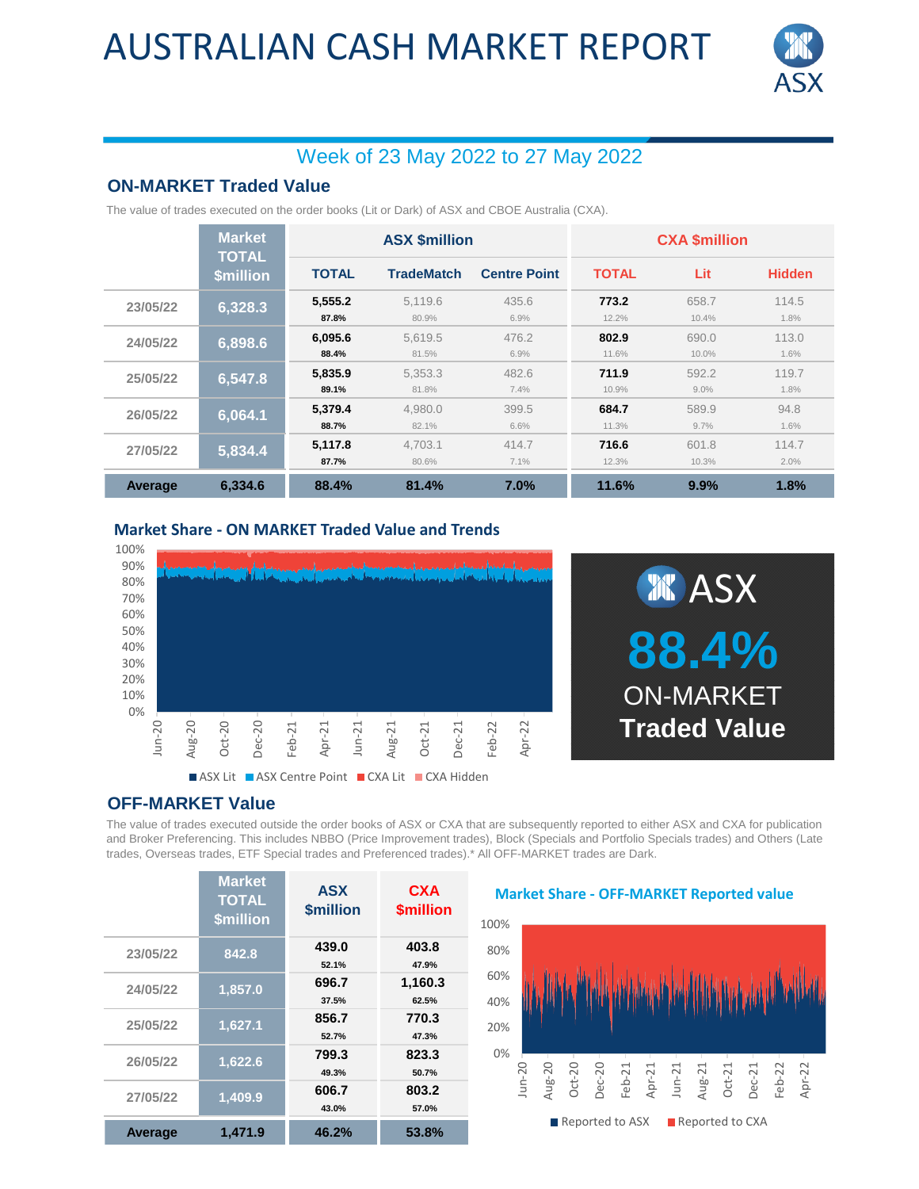## AUSTRALIAN CASH MARKET REPORT



### Week of 23 May 2022 to 27 May 2022

### **ON-MARKET Traded Value**

The value of trades executed on the order books (Lit or Dark) of ASX and CBOE Australia (CXA).

|          | <b>Market</b><br><b>TOTAL</b><br><b>\$million</b> | <b>ASX \$million</b> |                   |                     | <b>CXA \$million</b> |                |               |
|----------|---------------------------------------------------|----------------------|-------------------|---------------------|----------------------|----------------|---------------|
|          |                                                   | <b>TOTAL</b>         | <b>TradeMatch</b> | <b>Centre Point</b> | <b>TOTAL</b>         | Lit            | <b>Hidden</b> |
| 23/05/22 | 6,328.3                                           | 5.555.2<br>87.8%     | 5,119.6<br>80.9%  | 435.6<br>6.9%       | 773.2<br>12.2%       | 658.7<br>10.4% | 114.5<br>1.8% |
| 24/05/22 | 6,898.6                                           | 6.095.6<br>88.4%     | 5.619.5<br>81.5%  | 476.2<br>6.9%       | 802.9<br>11.6%       | 690.0<br>10.0% | 113.0<br>1.6% |
| 25/05/22 | 6,547.8                                           | 5,835.9<br>89.1%     | 5.353.3<br>81.8%  | 482.6<br>7.4%       | 711.9<br>10.9%       | 592.2<br>9.0%  | 119.7<br>1.8% |
| 26/05/22 | 6,064.1                                           | 5.379.4<br>88.7%     | 4.980.0<br>82.1%  | 399.5<br>6.6%       | 684.7<br>11.3%       | 589.9<br>9.7%  | 94.8<br>1.6%  |
| 27/05/22 | 5,834.4                                           | 5,117.8<br>87.7%     | 4.703.1<br>80.6%  | 414.7<br>7.1%       | 716.6<br>12.3%       | 601.8<br>10.3% | 114.7<br>2.0% |
| Average  | 6.334.6                                           | 88.4%                | 81.4%             | 7.0%                | 11.6%                | 9.9%           | 1.8%          |

**Market Share - ON MARKET Traded Value and Trends**





#### **OFF-MARKET Value**

The value of trades executed outside the order books of ASX or CXA that are subsequently reported to either ASX and CXA for publication and Broker Preferencing. This includes NBBO (Price Improvement trades), Block (Specials and Portfolio Specials trades) and Others (Late trades, Overseas trades, ETF Special trades and Preferenced trades).\* All OFF-MARKET trades are Dark.

|                | <b>Market</b><br><b>TOTAL</b><br><b>\$million</b> | <b>ASX</b><br><b><i><u>Smillion</u></i></b> | <b>CXA</b><br><b><i><u>Smillion</u></i></b> |
|----------------|---------------------------------------------------|---------------------------------------------|---------------------------------------------|
| 23/05/22       | 842.8                                             | 439.0<br>52.1%                              | 403.8<br>47.9%                              |
| 24/05/22       | 1,857.0                                           | 696.7<br>37.5%                              | 1,160.3<br>62.5%                            |
| 25/05/22       | 1,627.1                                           | 856.7<br>52.7%                              | 770.3<br>47.3%                              |
| 26/05/22       | 1,622.6                                           | 799.3<br>49.3%                              | 823.3<br>50.7%                              |
| 27/05/22       | 1,409.9                                           | 606.7<br>43.0%                              | 803.2<br>57.0%                              |
| <b>Average</b> | 1,471.9                                           | 46.2%                                       | 53.8%                                       |

**Market Share - OFF-MARKET Reported value**